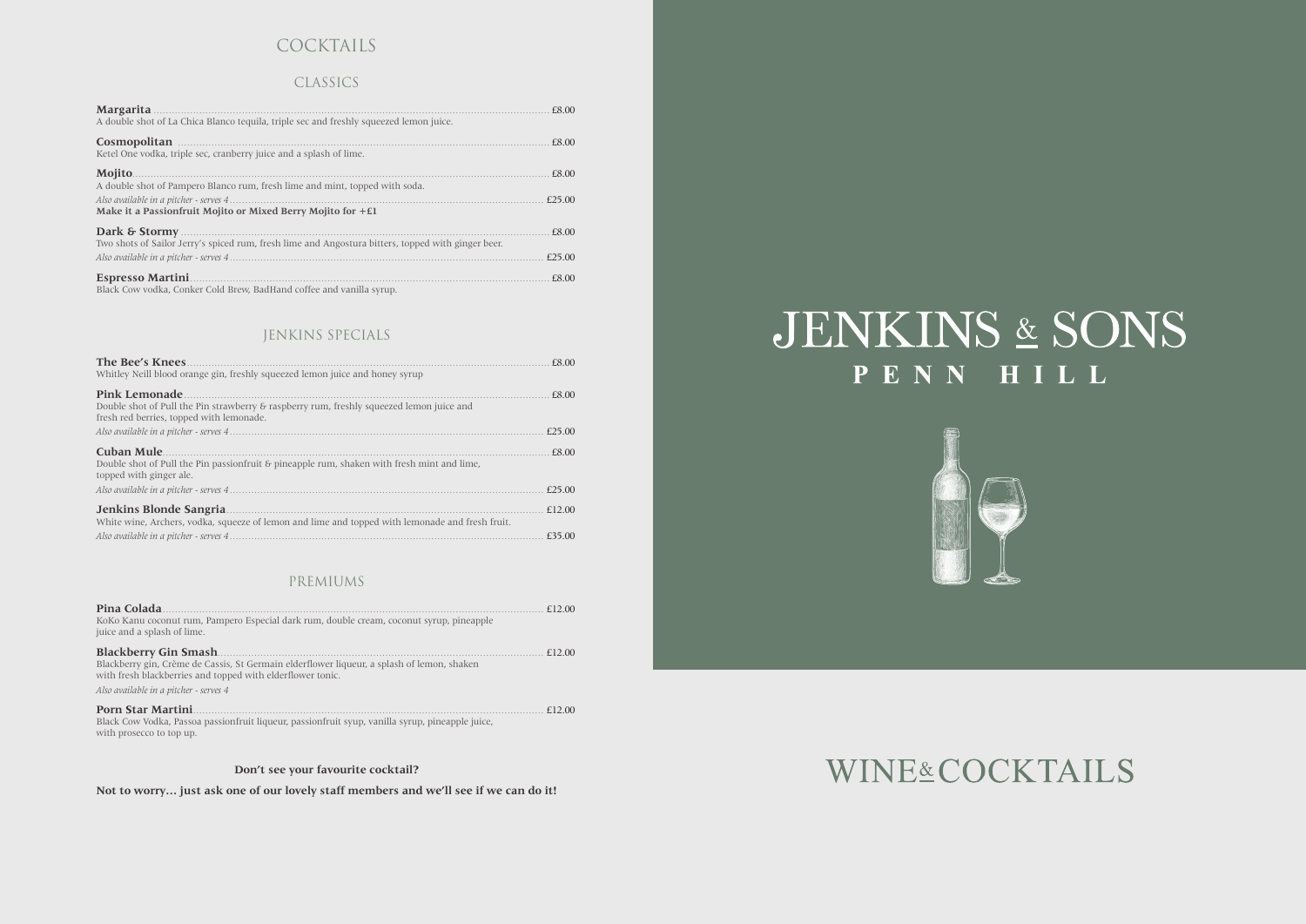# COCKTAILS

## CLASSICS

| <b>Margarita</b><br>A double shot of La Chica Blanco tequila, triple sec and freshly squeezed lemon juice. | £8.00  |
|------------------------------------------------------------------------------------------------------------|--------|
| Cosmopolitan<br>Ketel One vodka, triple sec, cranberry juice and a splash of lime.                         | £8.00  |
| <b>Mojito</b> .<br>A double shot of Pampero Blanco rum, fresh lime and mint, topped with soda.             | £8.00  |
| Make it a Passionfruit Mojito or Mixed Berry Mojito for $+E1$                                              | £25.00 |
| Two shots of Sailor Jerry's spiced rum, fresh lime and Angostura bitters, topped with ginger beer.         | £8.00  |
|                                                                                                            | £25.00 |
| <b>Espresso Martini</b><br>Black Cow vodka, Conker Cold Brew, BadHand coffee and vanilla syrup             | £8.00  |

# **JENKINS SPECIALS**

| The Bee's Knees<br>Whitley Neill blood orange gin, freshly squeezed lemon juice and honey syrup                                                              | £8.00  |
|--------------------------------------------------------------------------------------------------------------------------------------------------------------|--------|
| <b>Pink Lemonade</b><br>Double shot of Pull the Pin strawberry & raspberry rum, freshly squeezed lemon juice and<br>fresh red berries, topped with lemonade. | £8.00  |
|                                                                                                                                                              | f25.00 |
| <b>Cuban Mule</b><br>Double shot of Pull the Pin passion fruit & pineapple rum, shaken with fresh mint and lime,<br>topped with ginger ale.                  | £8.00  |
|                                                                                                                                                              | £25.00 |
| Jenkins Blonde Sangria<br>White wine, Archers, vodka, squeeze of lemon and lime and topped with lemonade and fresh fruit.                                    | £12.00 |
|                                                                                                                                                              | £35.00 |

# PREMIUMS

| Pina Colada<br>KoKo Kanu coconut rum, Pampero Especial dark rum, double cream, coconut syrup, pineapple<br>juice and a splash of lime.                                                                                              | f12.00 |
|-------------------------------------------------------------------------------------------------------------------------------------------------------------------------------------------------------------------------------------|--------|
| <b>Blackberry Gin Smash</b> .<br>Blackberry gin, Crème de Cassis, St Germain elderflower liqueur, a splash of lemon, shaken<br>with fresh blackberries and topped with elderflower tonic.<br>Also available in a pitcher - serves 4 | £12.00 |
| <b>Porn Star Martini</b><br>Black Cow Vodka, Passoa passionfruit liqueur, passionfruit syup, vanilla syrup, pineapple juice,<br>with prosecco to top up.                                                                            | f1200  |

Don't see your favourite cocktail?

Not to worry... just ask one of our lovely staff members and we'll see if we can do it!

# JENKINS & SONS PENN HILL



# **WINE&COCKTAILS**